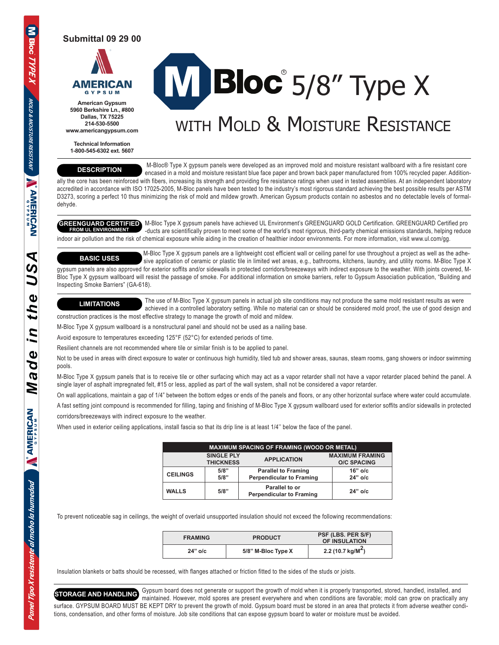**Submittal 09 29 00**



**American Gypsum 5960 Berkshire Ln., #800 Dallas, TX 75225 214-530-5500 www.americangypsum.com**

**Technical Information 1-800-545-6302 ext. 5607**

# **DESCRIPTION**

 M-Bloc® Type X gypsum panels were developed as an improved mold and moisture resistant wallboard with a fire resistant core encased in a mold and moisture resistant blue face paper and brown back paper manufactured from 100% recycled paper. Additionally the core has been reinforced with fibers, increasing its strength and providing fire resistance ratings when used in tested assemblies. At an independent laboratory

V Bloc 5/8" Type X

WITH MOLD & MOISTURE RESISTANCE

accredited in accordance with ISO 17025-2005, M-Bloc panels have been tested to the industry's most rigorous standard achieving the best possible results per ASTM D3273, scoring a perfect 10 thus minimizing the risk of mold and mildew growth. American Gypsum products contain no asbestos and no detectable levels of formaldehyde.

**GREENGUARD CERTIFIED** M-Bloc Type X gypsum panels have achieved UL Environment's GREENGUARD GOLD Certification. GREENGUARD Certified pro -ducts are scientifically proven to meet some of the world's most rigorous, third-party chemical emissions standards, helping reduce indoor air pollution and the risk of chemical exposure while aiding in the creation of healthier indoor environments. For more information, visit www.ul.com/gg. **FROM UL ENVIRONMENT**

## **BASIC USES**

 M-Bloc Type X gypsum panels are a lightweight cost efficient wall or ceiling panel for use throughout a project as well as the adhe sive application of ceramic or plastic tile in limited wet areas, e.g., bathrooms, kitchens, laundry, and utility rooms. M-Bloc Type X gypsum panels are also approved for exterior soffits and/or sidewalls in protected corridors/breezeways with indirect exposure to the weather. With joints covered, M-Bloc Type X gypsum wallboard will resist the passage of smoke. For additional information on smoke barriers, refer to Gypsum Association publication, "Building and Inspecting Smoke Barriers" (GA-618).

### **LIMITATIONS**

 The use of M-Bloc Type X gypsum panels in actual job site conditions may not produce the same mold resistant results as were achieved in a controlled laboratory setting. While no material can or should be considered mold proof, the use of good design and construction practices is the most effective strategy to manage the growth of mold and mildew.

M-Bloc Type X gypsum wallboard is a nonstructural panel and should not be used as a nailing base.

Avoid exposure to temperatures exceeding 125°F (52°C) for extended periods of time.

Resilient channels are not recommended where tile or similar finish is to be applied to panel.

Not to be used in areas with direct exposure to water or continuous high humidity, tiled tub and shower areas, saunas, steam rooms, gang showers or indoor swimming pools.

M-Bloc Type X gypsum panels that is to receive tile or other surfacing which may act as a vapor retarder shall not have a vapor retarder placed behind the panel. A single layer of asphalt impregnated felt, #15 or less, applied as part of the wall system, shall not be considered a vapor retarder.

On wall applications, maintain a gap of 1/4" between the bottom edges or ends of the panels and floors, or any other horizontal surface where water could accumulate.

A fast setting joint compound is recommended for filling, taping and finishing of M-Bloc Type X gypsum wallboard used for exterior soffits and/or sidewalls in protected corridors/breezeways with indirect exposure to the weather.

When used in exterior ceiling applications, install fascia so that its drip line is at least 1/4'' below the face of the panel.

| <b>MAXIMUM SPACING OF FRAMING (WOOD OR METAL)</b> |                                       |                                                               |                                              |  |  |  |  |
|---------------------------------------------------|---------------------------------------|---------------------------------------------------------------|----------------------------------------------|--|--|--|--|
|                                                   | <b>SINGLE PLY</b><br><b>THICKNESS</b> | <b>APPLICATION</b>                                            | <b>MAXIMUM FRAMING</b><br><b>O/C SPACING</b> |  |  |  |  |
| <b>CEILINGS</b>                                   | 5/8"<br>5/8"                          | <b>Parallel to Framing</b><br><b>Perpendicular to Framing</b> | $16"$ o/c<br>$24"$ o/c                       |  |  |  |  |
| <b>WALLS</b>                                      | 5/8"                                  | Parallel to or<br><b>Perpendicular to Framing</b>             | $24"$ o/c                                    |  |  |  |  |

To prevent noticeable sag in ceilings, the weight of overlaid unsupported insulation should not exceed the following recommendations:

| <b>FRAMING</b> | <b>PRODUCT</b>     | PSF (LBS. PER S/F)<br><b>OF INSULATION</b> |
|----------------|--------------------|--------------------------------------------|
| $24"$ o/c      | 5/8" M-Bloc Type X | 2.2(10.7 kg/M <sup>2</sup> )               |

Insulation blankets or batts should be recessed, with flanges attached or friction fitted to the sides of the studs or joists.

 Gypsum board does not generate or support the growth of mold when it is properly transported, stored, handled, installed, and maintained. However, mold spores are present everywhere and when conditions are favorable; mold can grow on practically any surface. GYPSUM BOARD MUST BE KEPT DRY to prevent the growth of mold. Gypsum board must be stored in an area that protects it from adverse weather conditions, condensation, and other forms of moisture. Job site conditions that can expose gypsum board to water or moisture must be avoided. **STORAGE AND HANDLING**